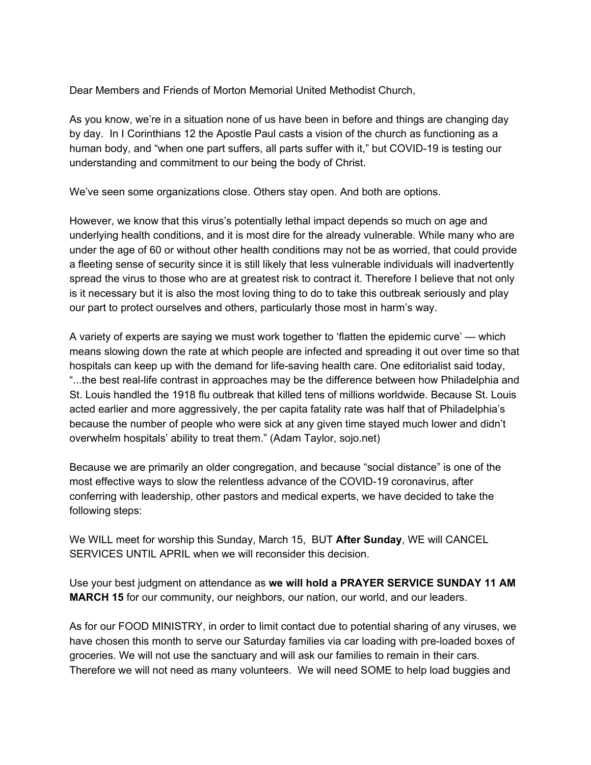Dear Members and Friends of Morton Memorial United Methodist Church,

As you know, we're in a situation none of us have been in before and things are changing day by day. In I Corinthians 12 the Apostle Paul casts a vision of the church as functioning as a human body, and "when one part suffers, all parts suffer with it," but COVID-19 is testing our understanding and commitment to our being the body of Christ.

We've seen some organizations close. Others stay open. And both are options.

However, we know that this virus's potentially lethal impact depends so much on age and underlying health conditions, and it is most dire for the already vulnerable. While many who are under the age of 60 or without other health conditions may not be as worried, that could provide a fleeting sense of security since it is still likely that less vulnerable individuals will inadvertently spread the virus to those who are at greatest risk to contract it. Therefore I believe that not only is it necessary but it is also the most loving thing to do to take this outbreak seriously and play our part to protect ourselves and others, particularly those most in harm's way.

A variety of experts are saying we must work together to 'flatten the epidemic curve' — which means slowing down the rate at which people are infected and spreading it out over time so that hospitals can keep up with the demand for life-saving health care. One editorialist said today, "...the best real-life contrast in approaches may be the difference between how Philadelphia and St. Louis handled the 1918 flu outbreak that killed tens of millions worldwide. Because St. Louis acted earlier and more aggressively, the per capita fatality rate was half that of Philadelphia's because the number of people who were sick at any given time stayed much lower and didn't overwhelm hospitals' ability to treat them." (Adam Taylor, sojo.net)

Because we are primarily an older congregation, and because "social distance" is one of the most effective ways to slow the relentless advance of the COVID-19 coronavirus, after conferring with leadership, other pastors and medical experts, we have decided to take the following steps:

We WILL meet for worship this Sunday, March 15, BUT **After Sunday**, WE will CANCEL SERVICES UNTIL APRIL when we will reconsider this decision.

Use your best judgment on attendance as **we will hold a PRAYER SERVICE SUNDAY 11 AM MARCH 15** for our community, our neighbors, our nation, our world, and our leaders.

As for our FOOD MINISTRY, in order to limit contact due to potential sharing of any viruses, we have chosen this month to serve our Saturday families via car loading with pre-loaded boxes of groceries. We will not use the sanctuary and will ask our families to remain in their cars. Therefore we will not need as many volunteers. We will need SOME to help load buggies and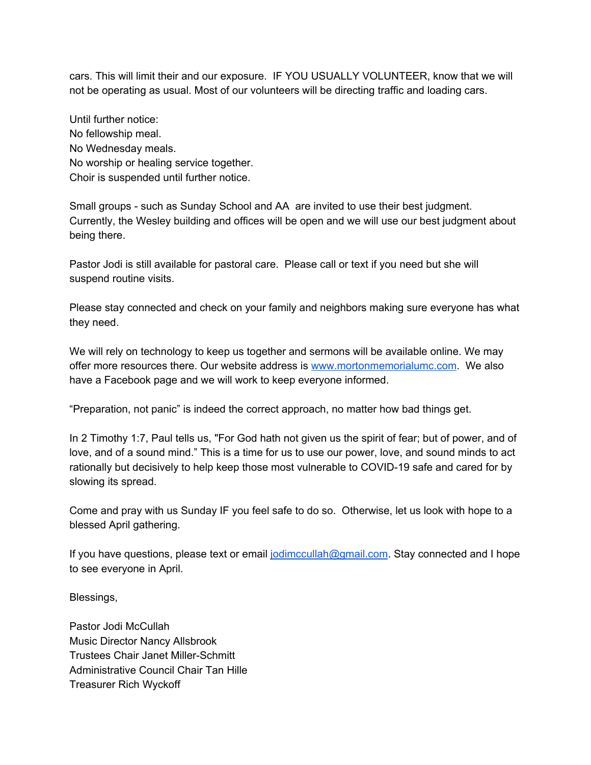cars. This will limit their and our exposure. IF YOU USUALLY VOLUNTEER, know that we will not be operating as usual. Most of our volunteers will be directing traffic and loading cars.

Until further notice: No fellowship meal. No Wednesday meals. No worship or healing service together. Choir is suspended until further notice.

Small groups - such as Sunday School and AA are invited to use their best judgment. Currently, the Wesley building and offices will be open and we will use our best judgment about being there.

Pastor Jodi is still available for pastoral care. Please call or text if you need but she will suspend routine visits.

Please stay connected and check on your family and neighbors making sure everyone has what they need.

We will rely on technology to keep us together and sermons will be available online. We may offer more resources there. Our website address is [www.mortonmemorialumc.com](http://www.mortonmemorialumc.com/). We also have a Facebook page and we will work to keep everyone informed.

"Preparation, not panic" is indeed the correct approach, no matter how bad things get.

In 2 Timothy 1:7, Paul tells us, "For God hath not given us the spirit of fear; but of power, and of love, and of a sound mind." This is a time for us to use our power, love, and sound minds to act rationally but decisively to help keep those most vulnerable to COVID-19 safe and cared for by slowing its spread.

Come and pray with us Sunday IF you feel safe to do so. Otherwise, let us look with hope to a blessed April gathering.

If you have questions, please text or email [jodimccullah@gmail.com](mailto:jodimccullah@gmail.com). Stay connected and I hope to see everyone in April.

Blessings,

Pastor Jodi McCullah Music Director Nancy Allsbrook Trustees Chair Janet Miller-Schmitt Administrative Council Chair Tan Hille Treasurer Rich Wyckoff